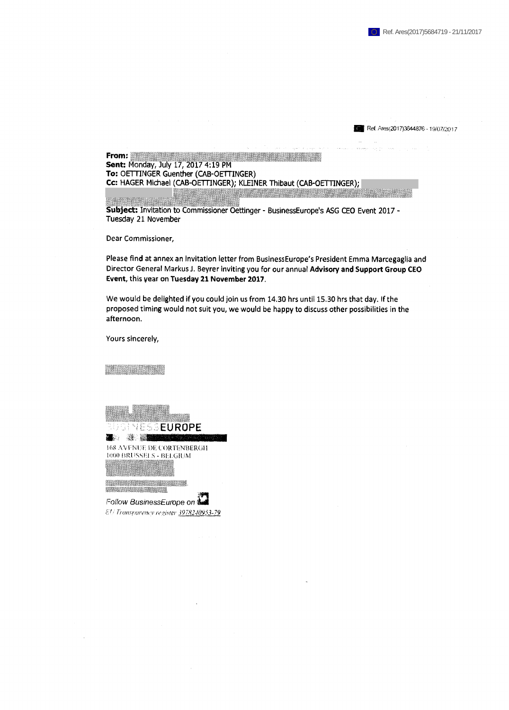Ref, Ares(2017)3644876 - 19/07/2017

iéiilll **From\* Sent: Monday, July 17, 2017 4:19 PM To: OETTINGER Guenther (CAB-OETTINGER) Cc: HAGER Michael (CAB-OETTINGER); KLEINER Thibaut (CAB-OETTINGER);**

**ASTO ALE Subject: Invitation to Commissioner Oettinger - BusinessEurope's ASG CEO Event 2017 - Tuesday 21 November**

**Dear Commissioner,**

**Please find at annex an invitation letter from BusinessEurope's President Emma Marcegaglia and Director General Markus J. Beyrer inviting you for our annual Advisory and Support Group CEO Event, this year on Tuesday 21 November 2017.**

**We would be delighted if you could join us from 14.30 hrs until 15.30 hrs that day. If the proposed timing would not suit you, we would be happy to discuss other possibilities in the afternoon.**

**Yours sincerely,**



*kl! Тгащмгету register 3978240953-79*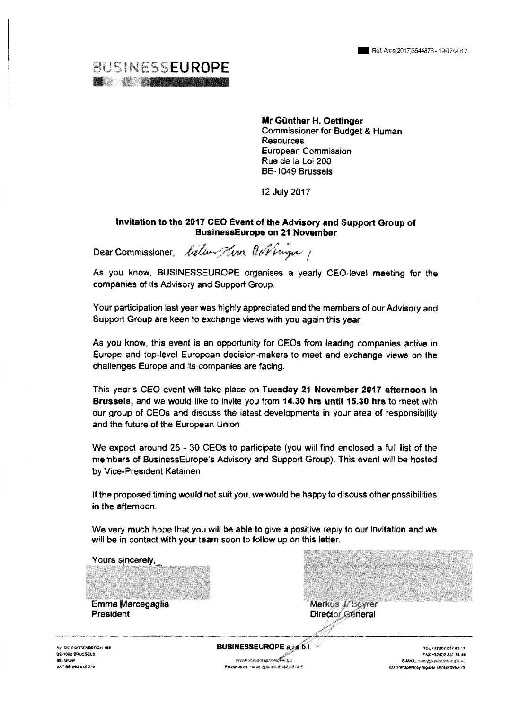

Mr Günther H. Oettinger Commissioner for Budget & Human **Resources** European Commission Rue de la Loi 200 **BE-1049 Brussels** 

12 July 2017

#### Invitation to the 2017 CEO Event of the Advisory and Support Group of **BusinessEurope on 21 November**

Dear Commissioner, beller Him Oil Vinger

As you know, BUSINESSEUROPE organises a yearly CEO-level meeting for the companies of its Advisory and Support Group.

Your participation last year was highly appreciated and the members of our Advisory and Support Group are keen to exchange views with you again this year.

As you know, this event is an opportunity for CEOs from leading companies active in Europe and top-level European decision-makers to meet and exchange views on the challenges Europe and its companies are facing.

This year's CEO event will take place on Tuesday 21 November 2017 afternoon in Brussels, and we would like to invite you from 14.30 hrs until 15.30 hrs to meet with our group of CEOs and discuss the latest developments in your area of responsibility and the future of the European Union.

We expect around 25 - 30 CEOs to participate (you will find enclosed a full list of the members of BusinessEurope's Advisory and Support Group). This event will be hosted by Vice-President Katainen.

If the proposed timing would not suit you, we would be happy to discuss other possibilities in the afternoon.

We very much hope that you will be able to give a positive reply to our invitation and we will be in contact with your team soon to follow up on this letter.

| Yours sincerely,                                                                   |                                                                                                     |                                                                                                                                   |
|------------------------------------------------------------------------------------|-----------------------------------------------------------------------------------------------------|-----------------------------------------------------------------------------------------------------------------------------------|
| Emma Marcegaglia<br>President                                                      | Markus J/ Beyrer<br>Director General                                                                |                                                                                                                                   |
| AV. DE CORTENBERGH 168<br>BE-1000 BRUSSELS<br><b>BELGAJM</b><br>VAT BE 863 418 279 | <b>BUSINESSEUROPE a.i.s.b.l.</b><br><b>WAVE GIVESTED OF EU</b><br>Fellow us on Twitter 書字用印建写版文件CPH | TEL +32(0)2 237 65 11<br>FAX +32(0)2 231 14:45<br><b>E-MAIL</b> , man determination and<br>EU Transparency register 1978240953-79 |